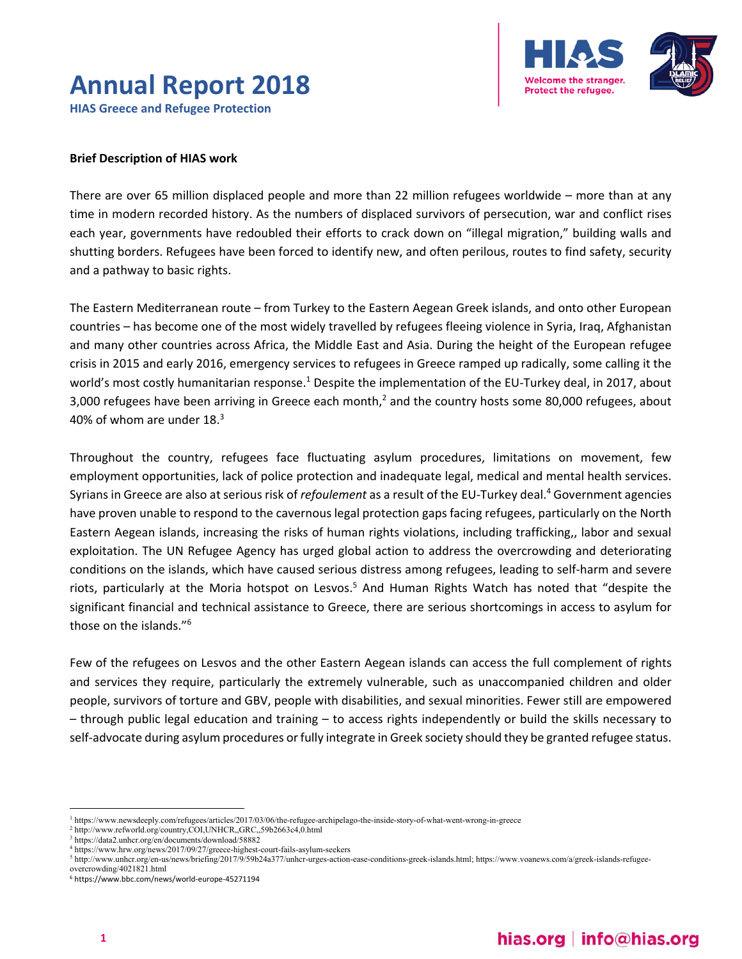## **Annual Report 2018 HIAS Greece and Refugee Protection**



#### **Brief Description of HIAS work**

There are over 65 million displaced people and more than 22 million refugees worldwide – more than at any time in modern recorded history. As the numbers of displaced survivors of persecution, war and conflict rises each year, governments have redoubled their efforts to crack down on "illegal migration," building walls and shutting borders. Refugees have been forced to identify new, and often perilous, routes to find safety, security and a pathway to basic rights.

The Eastern Mediterranean route – from Turkey to the Eastern Aegean Greek islands, and onto other European countries – has become one of the most widely travelled by refugees fleeing violence in Syria, Iraq, Afghanistan and many other countries across Africa, the Middle East and Asia. During the height of the European refugee crisis in 2015 and early 2016, emergency services to refugees in Greece ramped up radically, some calling it the world's most costly humanitarian response.<sup>1</sup> Despite the implementation of the EU-Turkey deal, in 2017, about 3,000 refugees have been arriving in Greece each month,<sup>2</sup> and the country hosts some 80,000 refugees, about 40% of whom are under  $18.<sup>3</sup>$ 

Throughout the country, refugees face fluctuating asylum procedures, limitations on movement, few employment opportunities, lack of police protection and inadequate legal, medical and mental health services. Syrians in Greece are also at serious risk of *refoulement* as a result of the EU-Turkey deal.<sup>4</sup> Government agencies have proven unable to respond to the cavernous legal protection gaps facing refugees, particularly on the North Eastern Aegean islands, increasing the risks of human rights violations, including trafficking,, labor and sexual exploitation. The UN Refugee Agency has urged global action to address the overcrowding and deteriorating conditions on the islands, which have caused serious distress among refugees, leading to self‐harm and severe riots, particularly at the Moria hotspot on Lesvos.<sup>5</sup> And Human Rights Watch has noted that "despite the significant financial and technical assistance to Greece, there are serious shortcomings in access to asylum for those on the islands."6

Few of the refugees on Lesvos and the other Eastern Aegean islands can access the full complement of rights and services they require, particularly the extremely vulnerable, such as unaccompanied children and older people, survivors of torture and GBV, people with disabilities, and sexual minorities. Fewer still are empowered – through public legal education and training – to access rights independently or build the skills necessary to self-advocate during asylum procedures or fully integrate in Greek society should they be granted refugee status.

<sup>1</sup> https://www.newsdeeply.com/refugees/articles/2017/03/06/the-refugee-archipelago-the-inside-story-of-what-went-wrong-in-greece

<sup>&</sup>lt;sup>2</sup> http://www.refworld.org/country,COI,UNHCR,,GRC,,59b2663c4,0.html<br><sup>3</sup> http://data2.unber.org/en/documents/download/58882

https://data2.unhcr.org/en/documents/download/58882

 $^{4}$  https://www.hrw.org/news/2017/09/27/greece-highest-court-fails-asylum-seekers  $^{5}$  http://www.upher.org/en.uc/news/brigfing/2017/0/50b24e377/upher.urges.ection

http://www.unhcr.org/en-us/news/briefing/2017/9/59b24a377/unhcr-urges-action-ease-conditions-greek-islands.html; https://www.voanews.com/a/greek-islands-refugeeovercrowding/4021821.html

<sup>6</sup> https://www.bbc.com/news/world‐europe‐45271194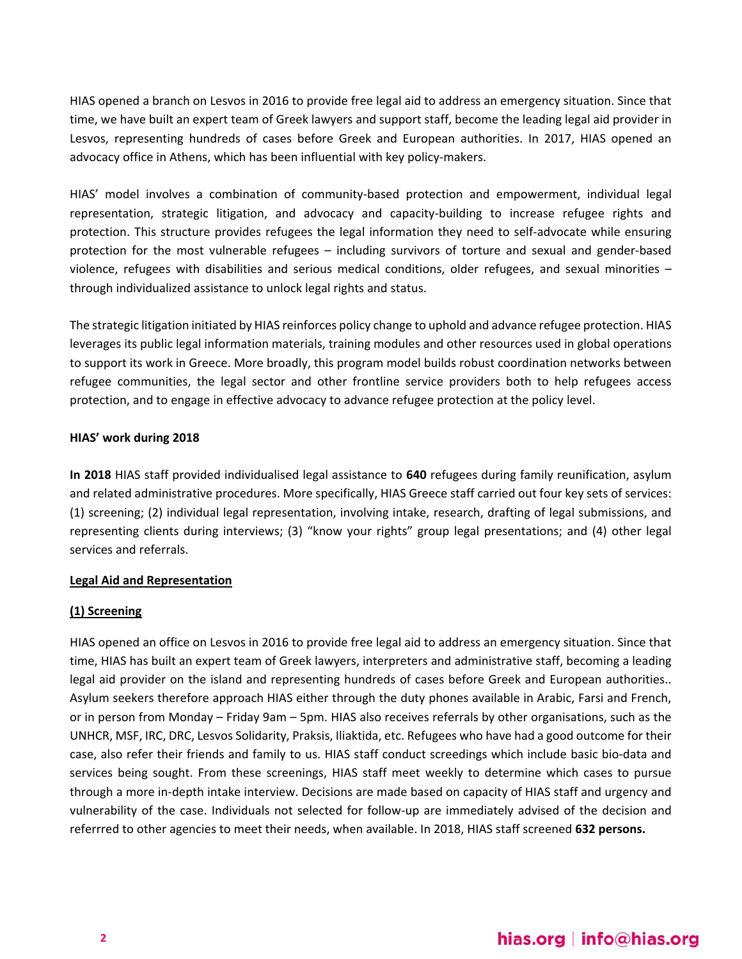HIAS opened a branch on Lesvos in 2016 to provide free legal aid to address an emergency situation. Since that time, we have built an expert team of Greek lawyers and support staff, become the leading legal aid provider in Lesvos, representing hundreds of cases before Greek and European authorities. In 2017, HIAS opened an advocacy office in Athens, which has been influential with key policy-makers.

HIAS' model involves a combination of community‐based protection and empowerment, individual legal representation, strategic litigation, and advocacy and capacity-building to increase refugee rights and protection. This structure provides refugees the legal information they need to self‐advocate while ensuring protection for the most vulnerable refugees - including survivors of torture and sexual and gender-based violence, refugees with disabilities and serious medical conditions, older refugees, and sexual minorities – through individualized assistance to unlock legal rights and status.

The strategic litigation initiated by HIAS reinforces policy change to uphold and advance refugee protection. HIAS leverages its public legal information materials, training modules and other resources used in global operations to support its work in Greece. More broadly, this program model builds robust coordination networks between refugee communities, the legal sector and other frontline service providers both to help refugees access protection, and to engage in effective advocacy to advance refugee protection at the policy level.

### **HIAS' work during 2018**

**In 2018** HIAS staff provided individualised legal assistance to **640** refugees during family reunification, asylum and related administrative procedures. More specifically, HIAS Greece staff carried out four key sets of services: (1) screening; (2) individual legal representation, involving intake, research, drafting of legal submissions, and representing clients during interviews; (3) "know your rights" group legal presentations; and (4) other legal services and referrals.

### **Legal Aid and Representation**

### **(1) Screening**

HIAS opened an office on Lesvos in 2016 to provide free legal aid to address an emergency situation. Since that time, HIAS has built an expert team of Greek lawyers, interpreters and administrative staff, becoming a leading legal aid provider on the island and representing hundreds of cases before Greek and European authorities.. Asylum seekers therefore approach HIAS either through the duty phones available in Arabic, Farsi and French, or in person from Monday – Friday 9am – 5pm. HIAS also receives referrals by other organisations, such as the UNHCR, MSF, IRC, DRC, Lesvos Solidarity, Praksis, Iliaktida, etc. Refugees who have had a good outcome for their case, also refer their friends and family to us. HIAS staff conduct screedings which include basic bio‐data and services being sought. From these screenings, HIAS staff meet weekly to determine which cases to pursue through a more in‐depth intake interview. Decisions are made based on capacity of HIAS staff and urgency and vulnerability of the case. Individuals not selected for follow‐up are immediately advised of the decision and referrred to other agencies to meet their needs, when available. In 2018, HIAS staff screened **632 persons.**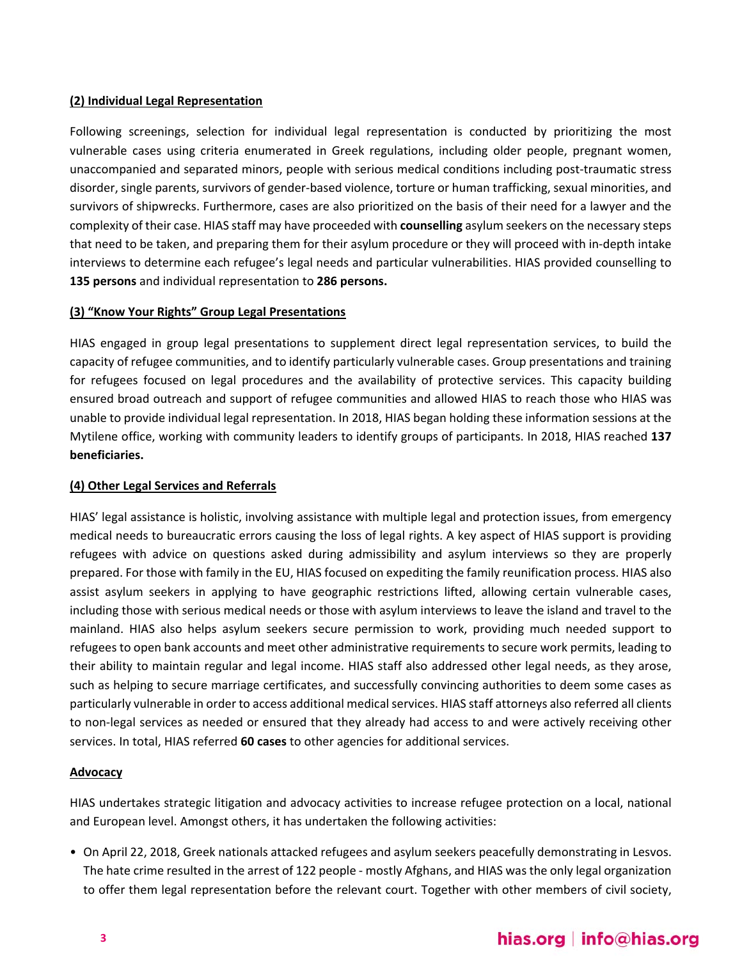## **(2) Individual Legal Representation**

Following screenings, selection for individual legal representation is conducted by prioritizing the most vulnerable cases using criteria enumerated in Greek regulations, including older people, pregnant women, unaccompanied and separated minors, people with serious medical conditions including post‐traumatic stress disorder, single parents, survivors of gender‐based violence, torture or human trafficking, sexual minorities, and survivors of shipwrecks. Furthermore, cases are also prioritized on the basis of their need for a lawyer and the complexity of their case. HIAS staff may have proceeded with **counselling** asylum seekers on the necessary steps that need to be taken, and preparing them for their asylum procedure or they will proceed with in‐depth intake interviews to determine each refugee's legal needs and particular vulnerabilities. HIAS provided counselling to **135 persons** and individual representation to **286 persons.** 

### **(3) "Know Your Rights" Group Legal Presentations**

HIAS engaged in group legal presentations to supplement direct legal representation services, to build the capacity of refugee communities, and to identify particularly vulnerable cases. Group presentations and training for refugees focused on legal procedures and the availability of protective services. This capacity building ensured broad outreach and support of refugee communities and allowed HIAS to reach those who HIAS was unable to provide individual legal representation. In 2018, HIAS began holding these information sessions at the Mytilene office, working with community leaders to identify groups of participants. In 2018, HIAS reached **137 beneficiaries.**

## **(4) Other Legal Services and Referrals**

HIAS' legal assistance is holistic, involving assistance with multiple legal and protection issues, from emergency medical needs to bureaucratic errors causing the loss of legal rights. A key aspect of HIAS support is providing refugees with advice on questions asked during admissibility and asylum interviews so they are properly prepared. For those with family in the EU, HIAS focused on expediting the family reunification process. HIAS also assist asylum seekers in applying to have geographic restrictions lifted, allowing certain vulnerable cases, including those with serious medical needs or those with asylum interviews to leave the island and travel to the mainland. HIAS also helps asylum seekers secure permission to work, providing much needed support to refugees to open bank accounts and meet other administrative requirements to secure work permits, leading to their ability to maintain regular and legal income. HIAS staff also addressed other legal needs, as they arose, such as helping to secure marriage certificates, and successfully convincing authorities to deem some cases as particularly vulnerable in order to access additional medical services. HIAS staff attorneys also referred all clients to non‐legal services as needed or ensured that they already had access to and were actively receiving other services. In total, HIAS referred **60 cases** to other agencies for additional services.

### **Advocacy**

HIAS undertakes strategic litigation and advocacy activities to increase refugee protection on a local, national and European level. Amongst others, it has undertaken the following activities:

• On April 22, 2018, Greek nationals attacked refugees and asylum seekers peacefully demonstrating in Lesvos. The hate crime resulted in the arrest of 122 people ‐ mostly Afghans, and HIAS was the only legal organization to offer them legal representation before the relevant court. Together with other members of civil society,

# hias.org | info@hias.org